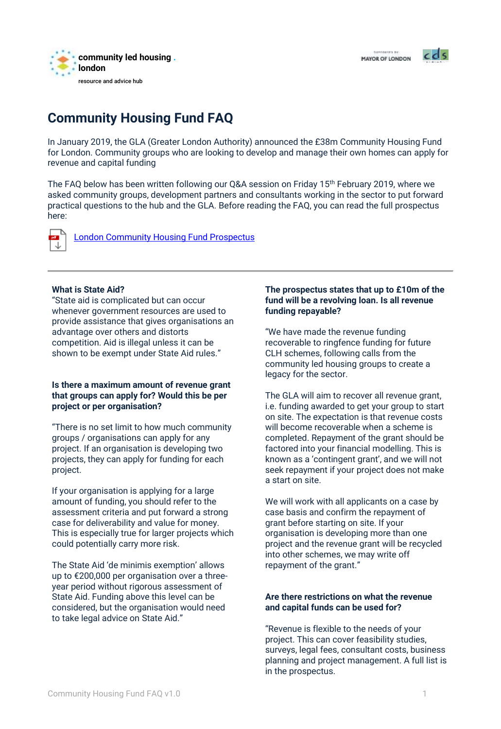

MAYOR OF LONDON



# **Community Housing Fund FAQ**

In January 2019, the GLA (Greater London Authority) announced the £38m Community Housing Fund for London. Community groups who are looking to develop and manage their own homes can apply for revenue and capital funding

The FAQ below has been written following our Q&A session on Friday 15th February 2019, where we asked community groups, development partners and consultants working in the sector to put forward practical questions to the hub and the GLA. Before reading the FAQ, you can read the full prospectus here:



[London Community Housing Fund Prospectus](https://www.london.gov.uk/sites/default/files/london_chf_prospectus_0.pdf)

#### **What is State Aid?**

"State aid is complicated but can occur whenever government resources are used to provide assistance that gives organisations an advantage over others and distorts competition. Aid is illegal unless it can be shown to be exempt under State Aid rules."

#### **Is there a maximum amount of revenue grant that groups can apply for? Would this be per project or per organisation?**

"There is no set limit to how much community groups / organisations can apply for any project. If an organisation is developing two projects, they can apply for funding for each project.

If your organisation is applying for a large amount of funding, you should refer to the assessment criteria and put forward a strong case for deliverability and value for money. This is especially true for larger projects which could potentially carry more risk.

The State Aid 'de minimis exemption' allows up to €200,000 per organisation over a threeyear period without rigorous assessment of State Aid. Funding above this level can be considered, but the organisation would need to take legal advice on State Aid."

# **The prospectus states that up to £10m of the fund will be a revolving loan. Is all revenue funding repayable?**

"We have made the revenue funding recoverable to ringfence funding for future CLH schemes, following calls from the community led housing groups to create a legacy for the sector.

The GLA will aim to recover all revenue grant, i.e. funding awarded to get your group to start on site. The expectation is that revenue costs will become recoverable when a scheme is completed. Repayment of the grant should be factored into your financial modelling. This is known as a 'contingent grant', and we will not seek repayment if your project does not make a start on site.

We will work with all applicants on a case by case basis and confirm the repayment of grant before starting on site. If your organisation is developing more than one project and the revenue grant will be recycled into other schemes, we may write off repayment of the grant."

# **Are there restrictions on what the revenue and capital funds can be used for?**

"Revenue is flexible to the needs of your project. This can cover feasibility studies, surveys, legal fees, consultant costs, business planning and project management. A full list is in the prospectus.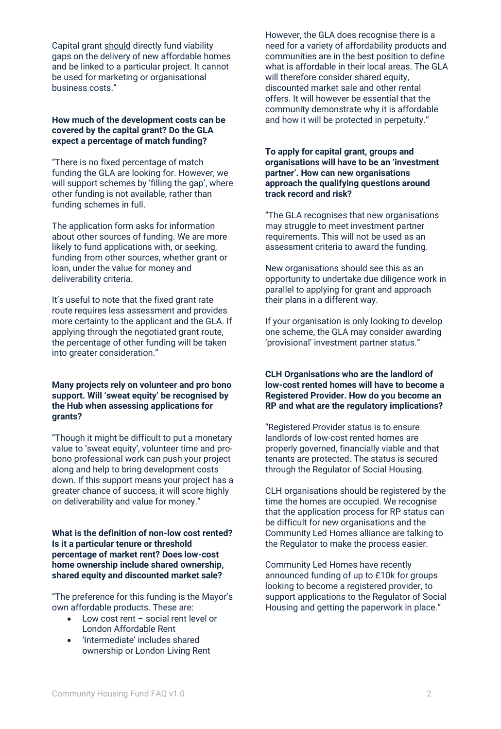Capital grant should directly fund viability gaps on the delivery of new affordable homes and be linked to a particular project. It cannot be used for marketing or organisational business costs."

#### **How much of the development costs can be covered by the capital grant? Do the GLA expect a percentage of match funding?**

"There is no fixed percentage of match funding the GLA are looking for. However, we will support schemes by 'filling the gap', where other funding is not available, rather than funding schemes in full.

The application form asks for information about other sources of funding. We are more likely to fund applications with, or seeking, funding from other sources, whether grant or loan, under the value for money and deliverability criteria.

It's useful to note that the fixed grant rate route requires less assessment and provides more certainty to the applicant and the GLA. If applying through the negotiated grant route, the percentage of other funding will be taken into greater consideration."

## **Many projects rely on volunteer and pro bono support. Will 'sweat equity' be recognised by the Hub when assessing applications for grants?**

"Though it might be difficult to put a monetary value to 'sweat equity', volunteer time and probono professional work can push your project along and help to bring development costs down. If this support means your project has a greater chance of success, it will score highly on deliverability and value for money."

## **What is the definition of non-low cost rented? Is it a particular tenure or threshold percentage of market rent? Does low-cost home ownership include shared ownership, shared equity and discounted market sale?**

"The preference for this funding is the Mayor's own affordable products. These are:

- Low cost rent social rent level or London Affordable Rent
- 'Intermediate' includes shared ownership or London Living Rent

However, the GLA does recognise there is a need for a variety of affordability products and communities are in the best position to define what is affordable in their local areas. The GLA will therefore consider shared equity, discounted market sale and other rental offers. It will however be essential that the community demonstrate why it is affordable and how it will be protected in perpetuity."

## **To apply for capital grant, groups and organisations will have to be an 'investment partner'. How can new organisations approach the qualifying questions around track record and risk?**

"The GLA recognises that new organisations may struggle to meet investment partner requirements. This will not be used as an assessment criteria to award the funding.

New organisations should see this as an opportunity to undertake due diligence work in parallel to applying for grant and approach their plans in a different way.

If your organisation is only looking to develop one scheme, the GLA may consider awarding 'provisional' investment partner status."

# **CLH Organisations who are the landlord of low-cost rented homes will have to become a Registered Provider. How do you become an RP and what are the regulatory implications?**

"Registered Provider status is to ensure landlords of low-cost rented homes are properly governed, financially viable and that tenants are protected. The status is secured through the Regulator of Social Housing.

CLH organisations should be registered by the time the homes are occupied. We recognise that the application process for RP status can be difficult for new organisations and the Community Led Homes alliance are talking to the Regulator to make the process easier.

Community Led Homes have recently announced funding of up to £10k for groups looking to become a registered provider, to support applications to the Regulator of Social Housing and getting the paperwork in place."